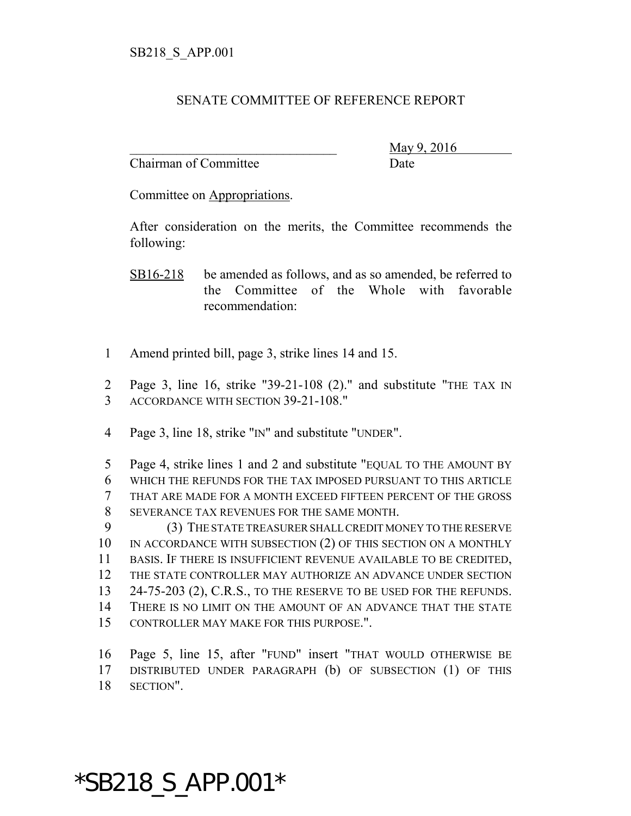## SENATE COMMITTEE OF REFERENCE REPORT

Chairman of Committee Date

\_\_\_\_\_\_\_\_\_\_\_\_\_\_\_\_\_\_\_\_\_\_\_\_\_\_\_\_\_\_\_ May 9, 2016

Committee on Appropriations.

After consideration on the merits, the Committee recommends the following:

SB16-218 be amended as follows, and as so amended, be referred to the Committee of the Whole with favorable recommendation:

- 1 Amend printed bill, page 3, strike lines 14 and 15.
- 2 Page 3, line 16, strike "39-21-108 (2)." and substitute "THE TAX IN 3 ACCORDANCE WITH SECTION 39-21-108."
- 4 Page 3, line 18, strike "IN" and substitute "UNDER".

 Page 4, strike lines 1 and 2 and substitute "EQUAL TO THE AMOUNT BY WHICH THE REFUNDS FOR THE TAX IMPOSED PURSUANT TO THIS ARTICLE THAT ARE MADE FOR A MONTH EXCEED FIFTEEN PERCENT OF THE GROSS SEVERANCE TAX REVENUES FOR THE SAME MONTH.

 (3) THE STATE TREASURER SHALL CREDIT MONEY TO THE RESERVE 10 IN ACCORDANCE WITH SUBSECTION (2) OF THIS SECTION ON A MONTHLY BASIS. IF THERE IS INSUFFICIENT REVENUE AVAILABLE TO BE CREDITED, THE STATE CONTROLLER MAY AUTHORIZE AN ADVANCE UNDER SECTION 13 24-75-203 (2), C.R.S., TO THE RESERVE TO BE USED FOR THE REFUNDS. THERE IS NO LIMIT ON THE AMOUNT OF AN ADVANCE THAT THE STATE CONTROLLER MAY MAKE FOR THIS PURPOSE.".

16 Page 5, line 15, after "FUND" insert "THAT WOULD OTHERWISE BE 17 DISTRIBUTED UNDER PARAGRAPH (b) OF SUBSECTION (1) OF THIS 18 SECTION".

## \*SB218\_S\_APP.001\*